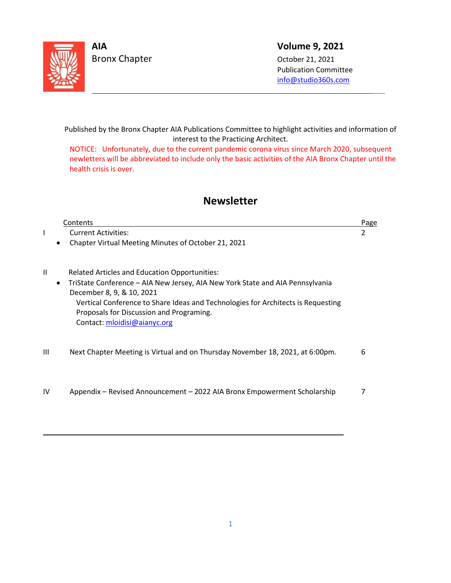

L

L

Bronx Chapter Case Controller Corp. 2021

## **AIA Volume 9, 2021**

 Publication Committee info@s[tudio360s.com](mailto:info@studio360s.com)

Published by the Bronx Chapter AIA Publications Committee to highlight activities and information of interest to the Practicing Architect.

NOTICE: Unfortunately, due to the current pandemic corona virus since March 2020, subsequent newletters will be abbreviated to include only the basic activities of the AIA Bronx Chapter until the health crisis is over.

# **Newsletter**

|                | Contents                                                                                                                                                                                                                                                                                                                           | Page |
|----------------|------------------------------------------------------------------------------------------------------------------------------------------------------------------------------------------------------------------------------------------------------------------------------------------------------------------------------------|------|
|                | <b>Current Activities:</b>                                                                                                                                                                                                                                                                                                         | 2    |
|                | Chapter Virtual Meeting Minutes of October 21, 2021                                                                                                                                                                                                                                                                                |      |
| Ш<br>$\bullet$ | <b>Related Articles and Education Opportunities:</b><br>TriState Conference - AIA New Jersey, AIA New York State and AIA Pennsylvania<br>December 8, 9, & 10, 2021<br>Vertical Conference to Share Ideas and Technologies for Architects is Requesting<br>Proposals for Discussion and Programing.<br>Contact: mloidisi@aianyc.org |      |
| Ш              | Next Chapter Meeting is Virtual and on Thursday November 18, 2021, at 6:00pm.                                                                                                                                                                                                                                                      | 6    |
| IV             | Appendix – Revised Announcement – 2022 AIA Bronx Empowerment Scholarship                                                                                                                                                                                                                                                           |      |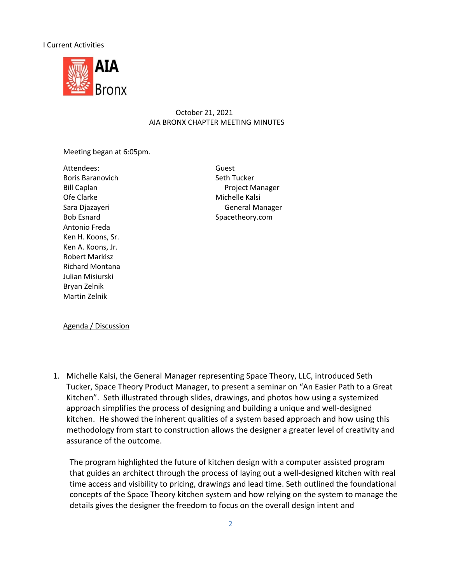#### I Current Activities



## October 21, 2021 AIA BRONX CHAPTER MEETING MINUTES

Meeting began at 6:05pm.

Attendees: Guest Boris Baranovich Seth Tucker Ofe Clarke Michelle Kalsi Bob Esnard Spacetheory.com Antonio Freda Ken H. Koons, Sr. Ken A. Koons, Jr. Robert Markisz Richard Montana Julian Misiurski Bryan Zelnik Martin Zelnik

Bill Caplan **Project Manager** Project Manager Sara Djazayeri General Manager

Agenda / Discussion

1. Michelle Kalsi, the General Manager representing Space Theory, LLC, introduced Seth Tucker, Space Theory Product Manager, to present a seminar on "An Easier Path to a Great Kitchen". Seth illustrated through slides, drawings, and photos how using a systemized approach simplifies the process of designing and building a unique and well-designed kitchen. He showed the inherent qualities of a system based approach and how using this methodology from start to construction allows the designer a greater level of creativity and assurance of the outcome.

The program highlighted the future of kitchen design with a computer assisted program that guides an architect through the process of laying out a well-designed kitchen with real time access and visibility to pricing, drawings and lead time. Seth outlined the foundational concepts of the Space Theory kitchen system and how relying on the system to manage the details gives the designer the freedom to focus on the overall design intent and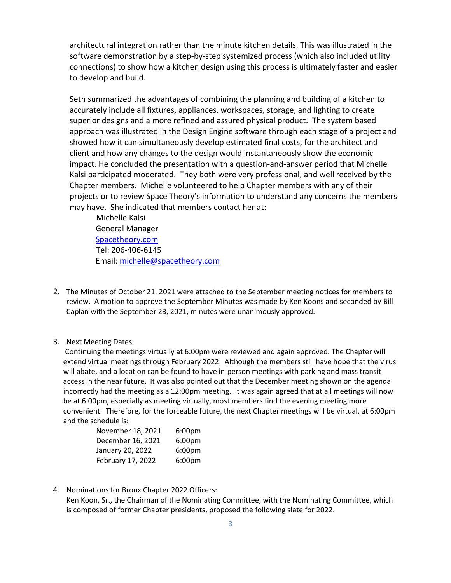architectural integration rather than the minute kitchen details. This was illustrated in the software demonstration by a step-by-step systemized process (which also included utility connections) to show how a kitchen design using this process is ultimately faster and easier to develop and build.

Seth summarized the advantages of combining the planning and building of a kitchen to accurately include all fixtures, appliances, workspaces, storage, and lighting to create superior designs and a more refined and assured physical product. The system based approach was illustrated in the Design Engine software through each stage of a project and showed how it can simultaneously develop estimated final costs, for the architect and client and how any changes to the design would instantaneously show the economic impact. He concluded the presentation with a question-and-answer period that Michelle Kalsi participated moderated. They both were very professional, and well received by the Chapter members. Michelle volunteered to help Chapter members with any of their projects or to review Space Theory's information to understand any concerns the members may have. She indicated that members contact her at:

Michelle Kalsi General Manager [Spacetheory.com](https://linkprotect.cudasvc.com/url?a=https%3a%2f%2fSpacetheory.com&c=E,1,W7Qj1GgWW_ROIxPSXBGwt5ScZRN7vfrk7F77oPCu3dBCQuQlga82QOpDZ3kUSw7-buZlqeicrjTCD4S7z4JecqaKNDB30Q7prmoCXeiDsStEAVAH&typo=1&ancr_add=1) Tel: 206-406-6145 Email: [michelle@spacetheory.com](mailto:michelle@spacetheory.com)

- 2. The Minutes of October 21, 2021 were attached to the September meeting notices for members to review. A motion to approve the September Minutes was made by Ken Koons and seconded by Bill Caplan with the September 23, 2021, minutes were unanimously approved.
- 3. Next Meeting Dates:

Continuing the meetings virtually at 6:00pm were reviewed and again approved. The Chapter will extend virtual meetings through February 2022. Although the members still have hope that the virus will abate, and a location can be found to have in-person meetings with parking and mass transit access in the near future. It was also pointed out that the December meeting shown on the agenda incorrectly had the meeting as a 12:00pm meeting. It was again agreed that at all meetings will now be at 6:00pm, especially as meeting virtually, most members find the evening meeting more convenient. Therefore, for the forceable future, the next Chapter meetings will be virtual, at 6:00pm and the schedule is:

| November 18, 2021 | 6:00 <sub>pm</sub> |  |
|-------------------|--------------------|--|
| December 16, 2021 | 6:00 <sub>pm</sub> |  |
| January 20, 2022  | 6:00 <sub>pm</sub> |  |
| February 17, 2022 | 6:00 <sub>pm</sub> |  |

4. Nominations for Bronx Chapter 2022 Officers: Ken Koon, Sr., the Chairman of the Nominating Committee, with the Nominating Committee, which is composed of former Chapter presidents, proposed the following slate for 2022.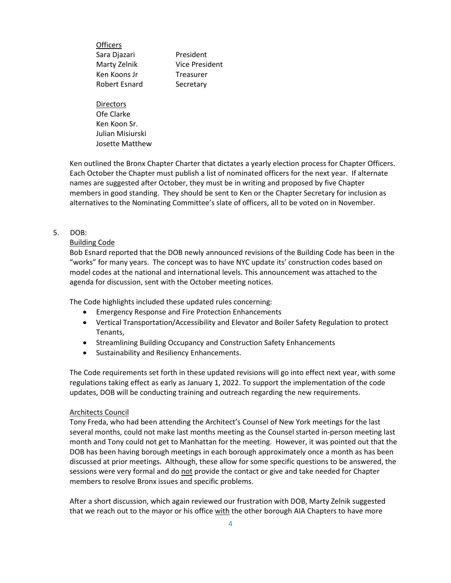**Officers** Sara Djazari **President** Marty Zelnik Vice President Ken Koons Jr Freasurer Robert Esnard Secretary

**Directors** Ofe Clarke Ken Koon Sr. Julian Misiurski Josette Matthew

Ken outlined the Bronx Chapter Charter that dictates a yearly election process for Chapter Officers. Each October the Chapter must publish a list of nominated officers for the next year. If alternate names are suggested after October, they must be in writing and proposed by five Chapter members in good standing. They should be sent to Ken or the Chapter Secretary for inclusion as alternatives to the Nominating Committee's slate of officers, all to be voted on in November.

#### 5. DOB:

#### Building Code

Bob Esnard reported that the DOB newly announced revisions of the Building Code has been in the "works" for many years. The concept was to have NYC update its' construction codes based on model codes at the national and international levels. This announcement was attached to the agenda for discussion, sent with the October meeting notices.

The Code highlights included these updated rules concerning:

- Emergency Response and Fire Protection Enhancements
- Vertical Transportation/Accessibility and Elevator and Boiler Safety Regulation to protect Tenants,
- Streamlining Building Occupancy and Construction Safety Enhancements
- Sustainability and Resiliency Enhancements.

The Code requirements set forth in these updated revisions will go into effect next year, with some regulations taking effect as early as January 1, 2022. To support the implementation of the code updates, DOB will be conducting training and outreach regarding the new requirements.

#### Architects Council

Tony Freda, who had been attending the Architect's Counsel of New York meetings for the last several months, could not make last months meeting as the Counsel started in-person meeting last month and Tony could not get to Manhattan for the meeting. However, it was pointed out that the DOB has been having borough meetings in each borough approximately once a month as has been discussed at prior meetings. Although, these allow for some specific questions to be answered, the sessions were very formal and do not provide the contact or give and take needed for Chapter members to resolve Bronx issues and specific problems.

After a short discussion, which again reviewed our frustration with DOB, Marty Zelnik suggested that we reach out to the mayor or his office with the other borough AIA Chapters to have more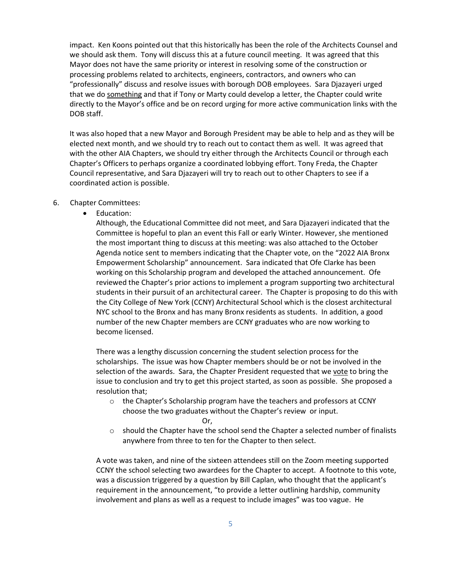impact. Ken Koons pointed out that this historically has been the role of the Architects Counsel and we should ask them. Tony will discuss this at a future council meeting. It was agreed that this Mayor does not have the same priority or interest in resolving some of the construction or processing problems related to architects, engineers, contractors, and owners who can "professionally" discuss and resolve issues with borough DOB employees. Sara Djazayeri urged that we do something and that if Tony or Marty could develop a letter, the Chapter could write directly to the Mayor's office and be on record urging for more active communication links with the DOB staff.

It was also hoped that a new Mayor and Borough President may be able to help and as they will be elected next month, and we should try to reach out to contact them as well. It was agreed that with the other AIA Chapters, we should try either through the Architects Council or through each Chapter's Officers to perhaps organize a coordinated lobbying effort. Tony Freda, the Chapter Council representative, and Sara Djazayeri will try to reach out to other Chapters to see if a coordinated action is possible.

- 6. Chapter Committees:
	- Education:

Although, the Educational Committee did not meet, and Sara Djazayeri indicated that the Committee is hopeful to plan an event this Fall or early Winter. However, she mentioned the most important thing to discuss at this meeting: was also attached to the October Agenda notice sent to members indicating that the Chapter vote, on the "2022 AIA Bronx Empowerment Scholarship" announcement. Sara indicated that Ofe Clarke has been working on this Scholarship program and developed the attached announcement. Ofe reviewed the Chapter's prior actions to implement a program supporting two architectural students in their pursuit of an architectural career. The Chapter is proposing to do this with the City College of New York (CCNY) Architectural School which is the closest architectural NYC school to the Bronx and has many Bronx residents as students. In addition, a good number of the new Chapter members are CCNY graduates who are now working to become licensed.

There was a lengthy discussion concerning the student selection process for the scholarships. The issue was how Chapter members should be or not be involved in the selection of the awards. Sara, the Chapter President requested that we vote to bring the issue to conclusion and try to get this project started, as soon as possible. She proposed a resolution that;

- o the Chapter's Scholarship program have the teachers and professors at CCNY choose the two graduates without the Chapter's review or input. Or,
- $\circ$  should the Chapter have the school send the Chapter a selected number of finalists anywhere from three to ten for the Chapter to then select.

A vote was taken, and nine of the sixteen attendees still on the Zoom meeting supported CCNY the school selecting two awardees for the Chapter to accept. A footnote to this vote, was a discussion triggered by a question by Bill Caplan, who thought that the applicant's requirement in the announcement, "to provide a letter outlining hardship, community involvement and plans as well as a request to include images" was too vague. He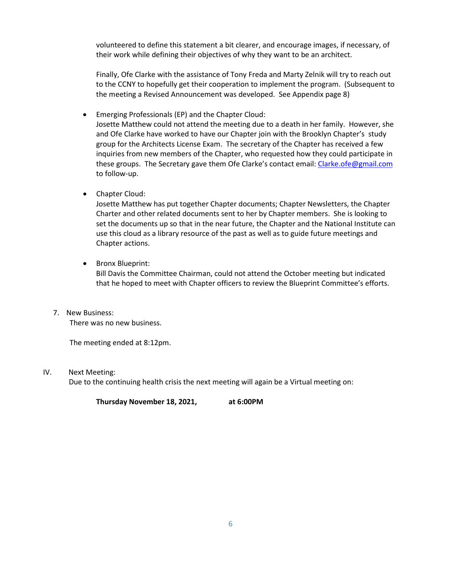volunteered to define this statement a bit clearer, and encourage images, if necessary, of their work while defining their objectives of why they want to be an architect.

Finally, Ofe Clarke with the assistance of Tony Freda and Marty Zelnik will try to reach out to the CCNY to hopefully get their cooperation to implement the program. (Subsequent to the meeting a Revised Announcement was developed. See Appendix page 8)

- Emerging Professionals (EP) and the Chapter Cloud: Josette Matthew could not attend the meeting due to a death in her family. However, she and Ofe Clarke have worked to have our Chapter join with the Brooklyn Chapter's study group for the Architects License Exam. The secretary of the Chapter has received a few inquiries from new members of the Chapter, who requested how they could participate in these groups. The Secretary gave them Ofe Clarke's contact email[: Clarke.ofe@gmail.com](mailto:Clarke.ofe@gmail.com) to follow-up.
- Chapter Cloud:

Josette Matthew has put together Chapter documents; Chapter Newsletters, the Chapter Charter and other related documents sent to her by Chapter members. She is looking to set the documents up so that in the near future, the Chapter and the National Institute can use this cloud as a library resource of the past as well as to guide future meetings and Chapter actions.

• Bronx Blueprint:

Bill Davis the Committee Chairman, could not attend the October meeting but indicated that he hoped to meet with Chapter officers to review the Blueprint Committee's efforts.

7. New Business: There was no new business.

The meeting ended at 8:12pm.

IV. Next Meeting:

Due to the continuing health crisis the next meeting will again be a Virtual meeting on:

**Thursday November 18, 2021, at 6:00PM**